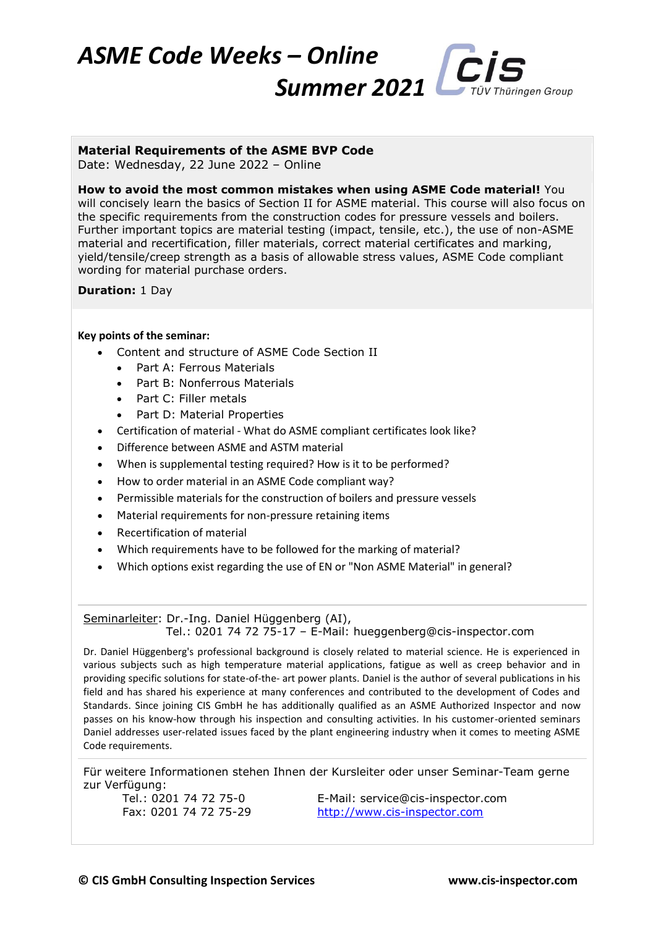

## **Material Requirements of the ASME BVP Code**

Date: Wednesday, 22 June 2022 – Online

**How to avoid the most common mistakes when using ASME Code material!** You will concisely learn the basics of Section II for ASME material. This course will also focus on the specific requirements from the construction codes for pressure vessels and boilers. Further important topics are material testing (impact, tensile, etc.), the use of non-ASME material and recertification, filler materials, correct material certificates and marking, yield/tensile/creep strength as a basis of allowable stress values, ASME Code compliant wording for material purchase orders.

**Duration:** 1 Day

## **Key points of the seminar:**

- Content and structure of ASME Code Section II
	- Part A: Ferrous Materials
	- Part B: Nonferrous Materials
	- Part C: Filler metals
	- Part D: Material Properties
- Certification of material What do ASME compliant certificates look like?
- Difference between ASME and ASTM material
- When is supplemental testing required? How is it to be performed?
- How to order material in an ASME Code compliant way?
- Permissible materials for the construction of boilers and pressure vessels
- Material requirements for non-pressure retaining items
- Recertification of material
- Which requirements have to be followed for the marking of material?
- Which options exist regarding the use of EN or "Non ASME Material" in general?

Seminarleiter: Dr.-Ing. Daniel Hüggenberg (AI), Tel.: 0201 74 72 75-17 – E-Mail: hueggenberg@cis-inspector.com

Dr. Daniel Hüggenberg's professional background is closely related to material science. He is experienced in various subjects such as high temperature material applications, fatigue as well as creep behavior and in providing specific solutions for state-of-the- art power plants. Daniel is the author of several publications in his field and has shared his experience at many conferences and contributed to the development of Codes and Standards. Since joining CIS GmbH he has additionally qualified as an ASME Authorized Inspector and now passes on his know-how through his inspection and consulting activities. In his customer-oriented seminars Daniel addresses user-related issues faced by the plant engineering industry when it comes to meeting ASME Code requirements.

Für weitere Informationen stehen Ihnen der Kursleiter oder unser Seminar-Team gerne zur Verfügung:

Tel.: 0201 74 72 75-0 E-Mail: service@cis-inspector.com Fax: 0201 74 72 75-29 [http://www.cis-inspector.com](http://www.cis-inspector.com/)